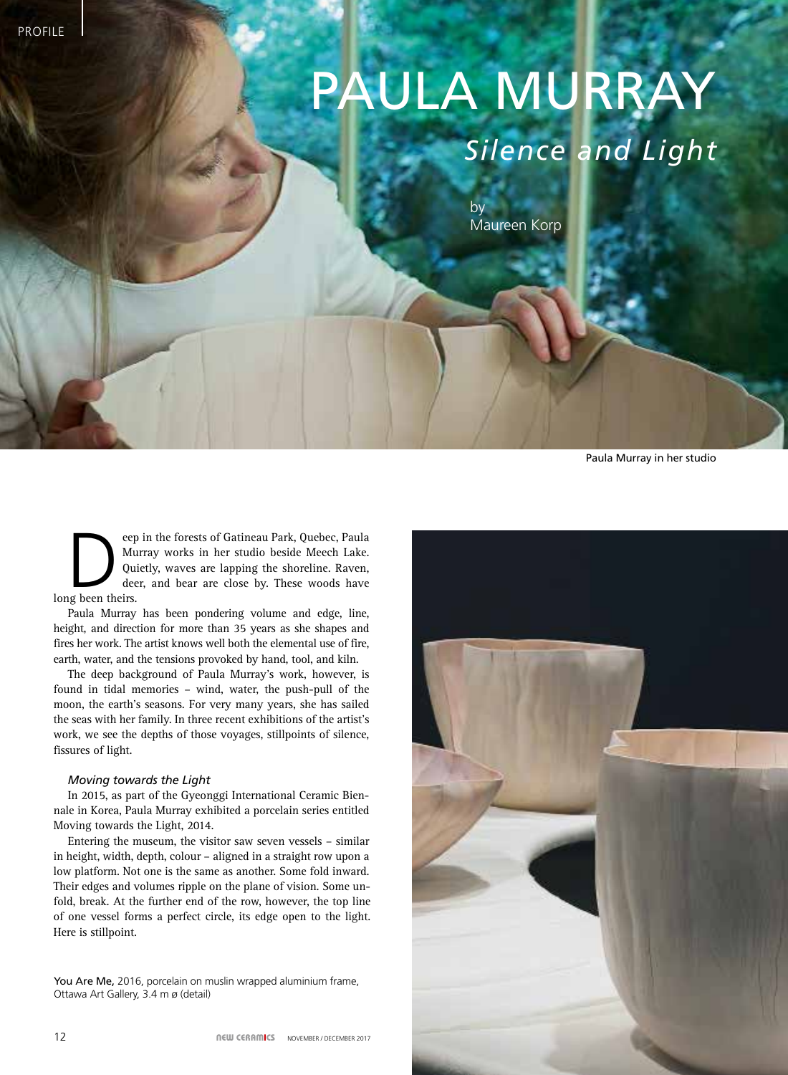# PAULA MURRAY *Silence and Light*

by Maureen Korp

Paula Murray in her studio

eep in the forests of Gatineau Park, Quebec, Paula<br>Murray works in her studio beside Meech Lake.<br>Quietly, waves are lapping the shoreline. Raven,<br>deer, and bear are close by. These woods have<br>g been theirs. Murray works in her studio beside Meech Lake. Quietly, waves are lapping the shoreline. Raven, deer, and bear are close by. These woods have long been theirs.

Paula Murray has been pondering volume and edge, line, height, and direction for more than 35 years as she shapes and fires her work. The artist knows well both the elemental use of fire, earth, water, and the tensions provoked by hand, tool, and kiln.

The deep background of Paula Murray's work, however, is found in tidal memories – wind, water, the push-pull of the moon, the earth's seasons. For very many years, she has sailed the seas with her family. In three recent exhibitions of the artist's work, we see the depths of those voyages, stillpoints of silence, fissures of light.

# *Moving towards the Light*

In 2015, as part of the Gyeonggi International Ceramic Biennale in Korea, Paula Murray exhibited a porcelain series entitled Moving towards the Light, 2014.

Entering the museum, the visitor saw seven vessels – similar in height, width, depth, colour – aligned in a straight row upon a low platform. Not one is the same as another. Some fold inward. Their edges and volumes ripple on the plane of vision. Some unfold, break. At the further end of the row, however, the top line of one vessel forms a perfect circle, its edge open to the light. Here is stillpoint.

You Are Me, 2016, porcelain on muslin wrapped aluminium frame, Ottawa Art Gallery, 3.4 m ø (detail)

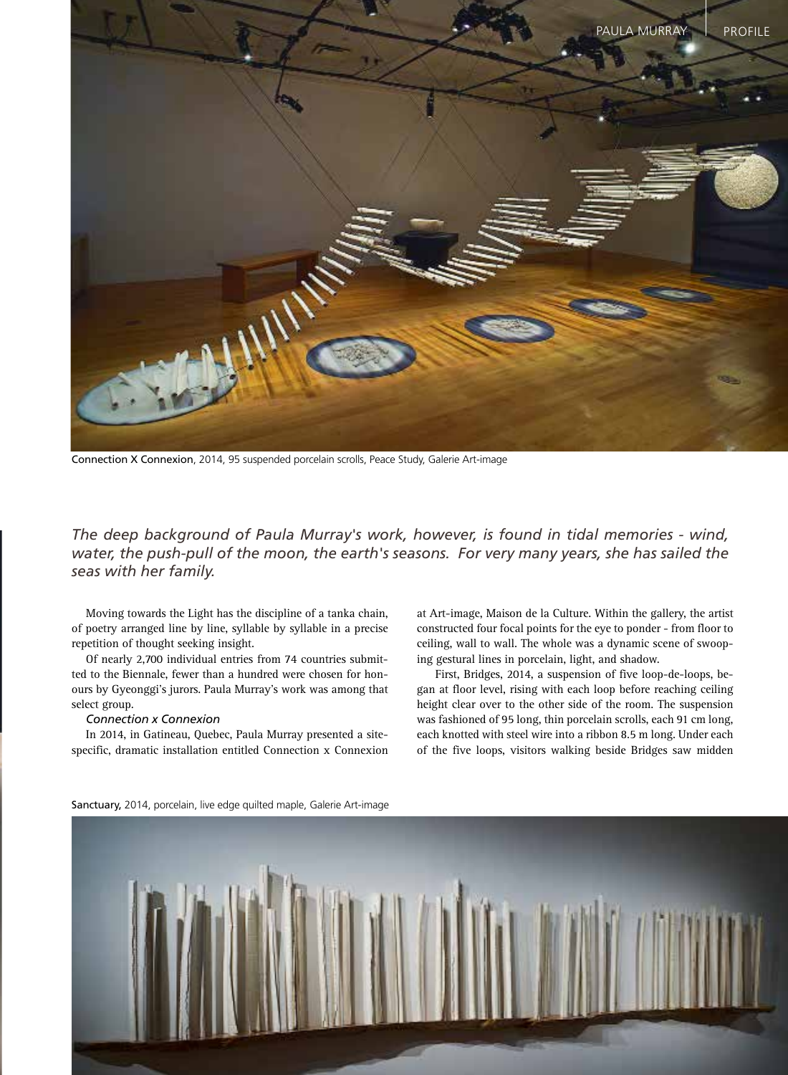

Connection X Connexion, 2014, 95 suspended porcelain scrolls, Peace Study, Galerie Art-image

*The deep background of Paula Murray's work, however, is found in tidal memories - wind, water, the push-pull of the moon, the earth's seasons. For very many years, she has sailed the seas with her family.*

Moving towards the Light has the discipline of a tanka chain, of poetry arranged line by line, syllable by syllable in a precise repetition of thought seeking insight.

Of nearly 2,700 individual entries from 74 countries submitted to the Biennale, fewer than a hundred were chosen for honours by Gyeonggi's jurors. Paula Murray's work was among that select group.

#### *Connection x Connexion*

In 2014, in Gatineau, Quebec, Paula Murray presented a sitespecific, dramatic installation entitled Connection x Connexion at Art-image, Maison de la Culture. Within the gallery, the artist constructed four focal points for the eye to ponder - from floor to ceiling, wall to wall. The whole was a dynamic scene of swooping gestural lines in porcelain, light, and shadow.

 First, Bridges, 2014, a suspension of five loop-de-loops, began at floor level, rising with each loop before reaching ceiling height clear over to the other side of the room. The suspension was fashioned of 95 long, thin porcelain scrolls, each 91 cm long, each knotted with steel wire into a ribbon 8.5 m long. Under each of the five loops, visitors walking beside Bridges saw midden



Sanctuary, 2014, porcelain, live edge quilted maple, Galerie Art-image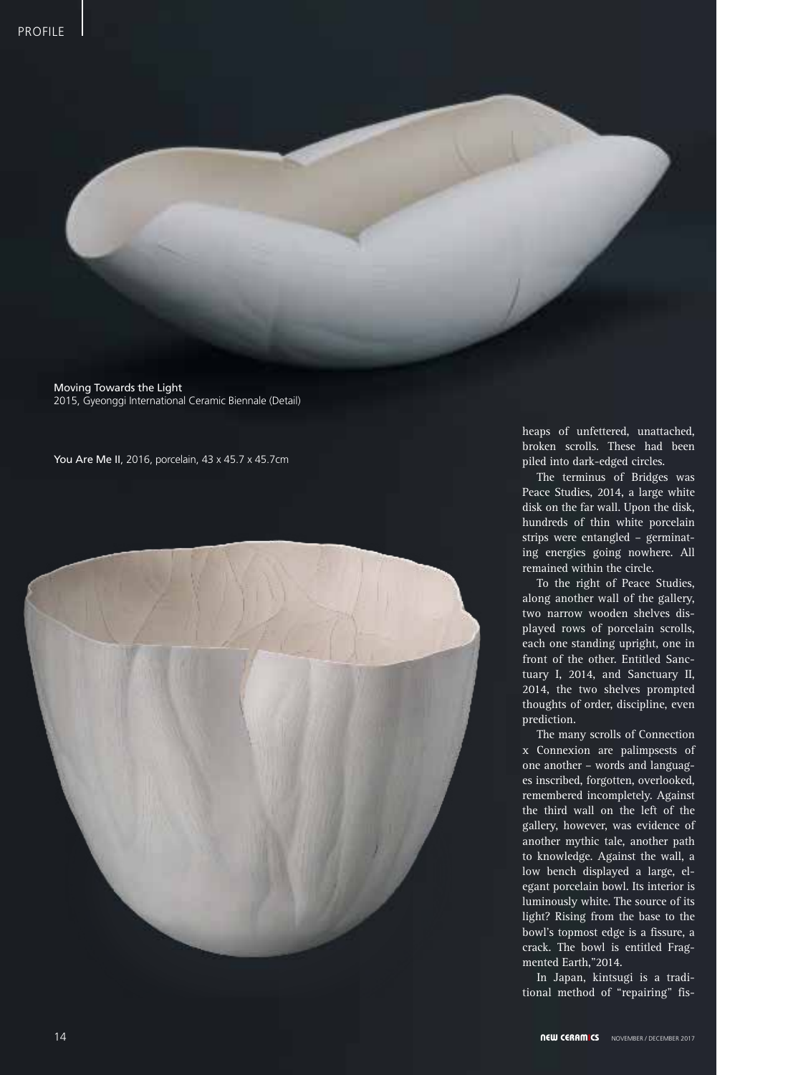Moving Towards the Light 2015, Gyeonggi International Ceramic Biennale (Detail)

You Are Me II, 2016, porcelain, 43 x 45.7 x 45.7cm



heaps of unfettered, unattached, broken scrolls. These had been piled into dark-edged circles.

The terminus of Bridges was Peace Studies, 2014, a large white disk on the far wall. Upon the disk, hundreds of thin white porcelain strips were entangled – germinating energies going nowhere. All remained within the circle.

To the right of Peace Studies, along another wall of the gallery, two narrow wooden shelves displayed rows of porcelain scrolls, each one standing upright, one in front of the other. Entitled Sanctuary I, 2014, and Sanctuary II, 2014, the two shelves prompted thoughts of order, discipline, even prediction.

The many scrolls of Connection x Connexion are palimpsests of one another – words and languages inscribed, forgotten, overlooked, remembered incompletely. Against the third wall on the left of the gallery, however, was evidence of another mythic tale, another path to knowledge. Against the wall, a low bench displayed a large, elegant porcelain bowl. Its interior is luminously white. The source of its light? Rising from the base to the bowl's topmost edge is a fissure, a crack. The bowl is entitled Fragmented Earth,"2014.

In Japan, kintsugi is a traditional method of "repairing" fis-